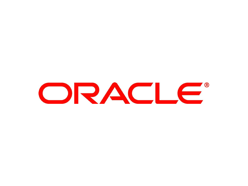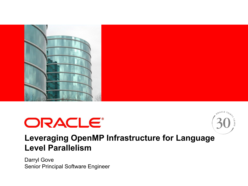





#### **Leveraging OpenMP Infrastructure for Language Level Parallelism**

Darryl Gove Senior Principal Software Engineer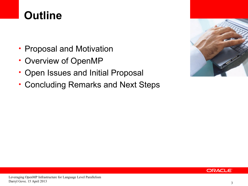### **Outline**

- Proposal and Motivation
- Overview of OpenMP
- Open Issues and Initial Proposal
- Concluding Remarks and Next Steps



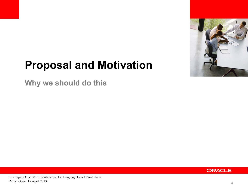

#### **Proposal and Motivation**

**Why we should do this**

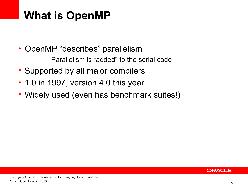#### **What is OpenMP**

- OpenMP "describes" parallelism
	- Parallelism is "added" to the serial code
- Supported by all major compilers
- 1.0 in 1997, version 4.0 this year
- Widely used (even has benchmark suites!)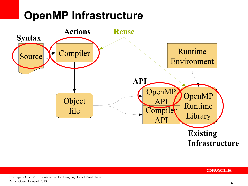### **OpenMP Infrastructure**



#### ORACLE<sup>®</sup>

Leveraging OpenMP Infrastructure for Language Level Parallelism Darryl Gove. 15 April 2013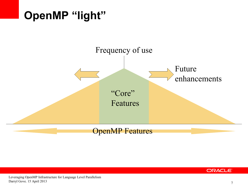

#### ORACLE<sup>®</sup>

Leveraging OpenMP Infrastructure for Language Level Parallelism Darryl Gove. 15 April 2013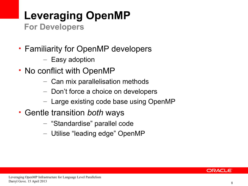# **Leveraging OpenMP**

**For Developers**

- Familiarity for OpenMP developers
	- Easy adoption
- No conflict with OpenMP
	- Can mix parallelisation methods
	- Don't force a choice on developers
	- Large existing code base using OpenMP
- Gentle transition *both* ways
	- "Standardise" parallel code
	- Utilise "leading edge" OpenMP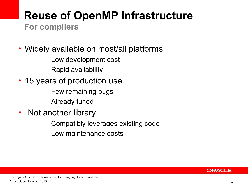# **Reuse of OpenMP Infrastructure**

**For compilers**

- Widely available on most/all platforms
	- Low development cost
	- Rapid availability
- 15 years of production use
	- Few remaining bugs
	- Already tuned
- Not another library
	- Compatibly leverages existing code
	- Low maintenance costs

#### ORACLE®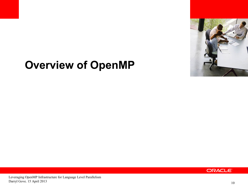

#### **Overview of OpenMP**

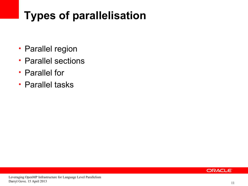## **Types of parallelisation**

- Parallel region
- Parallel sections
- Parallel for
- Parallel tasks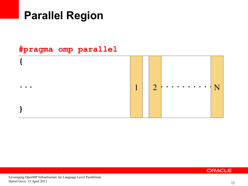#### **Parallel Region**

#### **#pragma omp parallel**

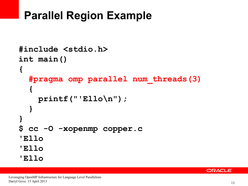#### **Parallel Region Example**

```
#include <stdio.h>
int main()
{
   #pragma omp parallel num_threads(3)
   {
     printf("'Ello\n");
   }
}
$ cc -O -xopenmp copper.c
'Ello
'Ello
'Ello
```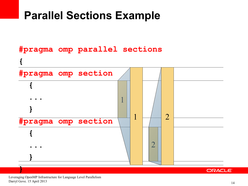#### **Parallel Sections Example**



#### **ORACLE**

Leveraging OpenMP Infrastructure for Language Level Parallelism Darryl Gove. 15 April 2013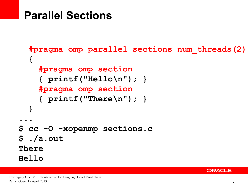#### **Parallel Sections**

```
 #pragma omp parallel sections num_threads(2)
   {
     #pragma omp section
     { printf("Hello\n"); }
     #pragma omp section
     { printf("There\n"); }
   }
...
$ cc -O -xopenmp sections.c
$ ./a.out
There
Hello
```
#### ORACLE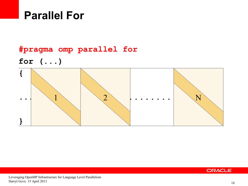#### **Parallel For**

#### **#pragma omp parallel for**

**for (...)**



#### ORACLE<sup>®</sup>

Leveraging OpenMP Infrastructure for Language Level Parallelism Darryl Gove. 15 April 2013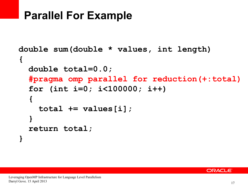#### **Parallel For Example**

```
double sum(double * values, int length)
{
   double total=0.0;
   #pragma omp parallel for reduction(+:total)
   for (int i=0; i<100000; i++)
   {
     total += values[i];
   }
   return total;
}
```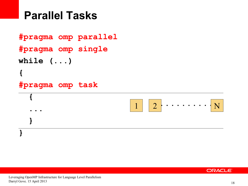#### **Parallel Tasks**

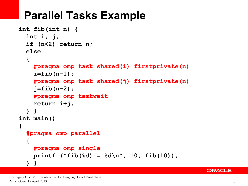#### **Parallel Tasks Example**

```
int fib(int n) {
   int i, j;
   if (n<2) return n;
   else
   {
     #pragma omp task shared(i) firstprivate(n)
     i=fib(n-1);
     #pragma omp task shared(j) firstprivate(n)
     j=fib(n-2);
     #pragma omp taskwait
     return i+j;
   } }
int main()
{
   #pragma omp parallel
   {
     #pragma omp single
    printf ("fib(%d) = \delta d \n\cdot", 10, fib(10));
   } }
```
#### **ORACLE**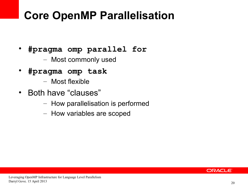### **Core OpenMP Parallelisation**

- **#pragma omp parallel for**
	- Most commonly used
- **#pragma omp task**
	- Most flexible
- Both have "clauses"
	- How parallelisation is performed
	- How variables are scoped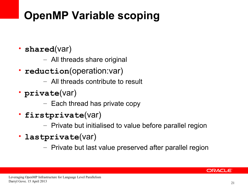# **OpenMP Variable scoping**

- **shared**(var)
	- All threads share original
- **reduction**(operation:var)
	- All threads contribute to result
- **private**(var)
	- Each thread has private copy
- **firstprivate**(var)
	- Private but initialised to value before parallel region
- **lastprivate**(var)
	- Private but last value preserved after parallel region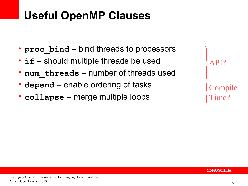### **Useful OpenMP Clauses**

- **proc** bind bind threads to processors
- **if** should multiple threads be used
- **num\_threads** number of threads used
- **depend** enable ordering of tasks
- **collapse** merge multiple loops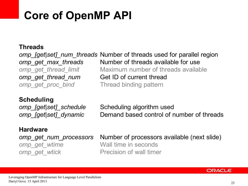### **Core of OpenMP API**

#### **Threads**

omp\_[get|set]\_num\_threads Number of threads used for parallel region Number of threads available for use Maximum number of threads available Get ID of current thread Thread binding pattern *omp\_get\_max\_threads omp\_get\_thread\_limit omp\_get\_thread\_num omp\_get\_proc\_bind*

#### **Scheduling**

*omp\_[get|set]\_schedule omp\_[get|set]\_dynamic*

Scheduling algorithm used Demand based control of number of threads

#### **Hardware**

*omp\_get\_num\_processors omp\_get\_wtime omp\_get\_wtick*

Number of processors available (next slide) Wall time in seconds Precision of wall timer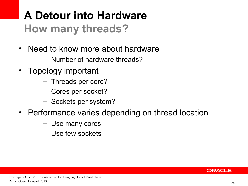### **A Detour into Hardware How many threads?**

- Need to know more about hardware
	- Number of hardware threads?
- Topology important
	- Threads per core?
	- Cores per socket?
	- Sockets per system?
- Performance varies depending on thread location
	- Use many cores
	- Use few sockets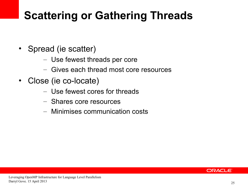### **Scattering or Gathering Threads**

- Spread (ie scatter)
	- Use fewest threads per core
	- Gives each thread most core resources
- Close (ie co-locate)
	- Use fewest cores for threads
	- Shares core resources
	- Minimises communication costs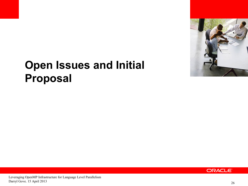

#### **Open Issues and Initial Proposal**

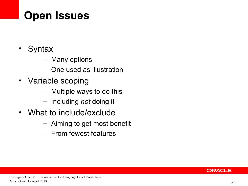### **Open Issues**

- Syntax
	- Many options
	- One used as illustration
- Variable scoping
	- Multiple ways to do this
	- Including *not* doing it
- What to include/exclude
	- Aiming to get most benefit
	- From fewest features

#### ORACLE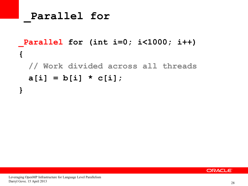**\_Parallel for** 

#### **\_Parallel for (int i=0; i<1000; i++) { // Work divided across all threads**  $a[i] = b[i] * c[i];$

**}**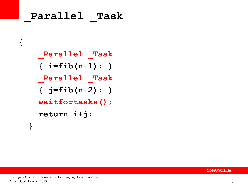# **\_Parallel \_Task { \_Parallel \_Task { i=fib(n-1); } \_Parallel \_Task**  $\{$   $j=$   $\text{fib}(n-2)$ ;  $\}$  **waitfortasks(); return i+j; }**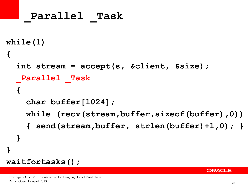```
_Parallel _Task
while(1) 
{
   int stream = accept(s, &client, &size);
    _Parallel _Task
   {
     char buffer[1024];
     while (recv(stream,buffer,sizeof(buffer),0))
     { send(stream,buffer, strlen(buffer)+1,0); }
   }
}
waitfortasks();
```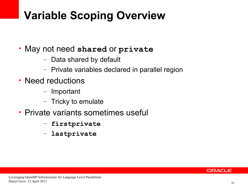### **Variable Scoping Overview**

- May not need **shared** or **private**
	- Data shared by default
	- Private variables declared in parallel region
- Need reductions
	- Important
	- Tricky to emulate
- Private variants sometimes useful
	- **firstprivate**
	- **lastprivate**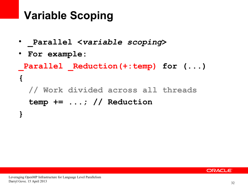#### **Variable Scoping**

- **\_Parallel <***variable scoping***>**
- **For example:**

**}**

```
Parallel Reduction(+:temp) for ( \ldots ){
  // Work divided across all threads
  temp += ...; // Reduction
```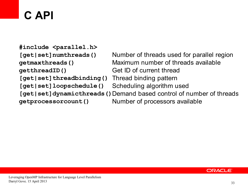# **C API**

Number of threads used for parallel region Maximum number of threads available Get ID of current thread Thread binding pattern Scheduling algorithm used [get|set]dynamicthreads()Demand based control of number of threads **#include <parallel.h> [get|set]numthreads() getmaxthreads() getthreadID() [get|set]threadbinding() [get|set]loopschedule()**

**getprocessorcount()**

Number of processors available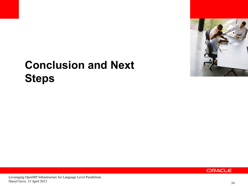

### **Conclusion and Next Steps**

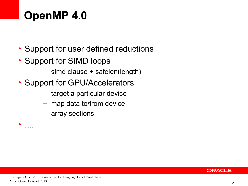### **OpenMP 4.0**

- Support for user defined reductions
- Support for SIMD loops
	- simd clause + safelen(length)
- Support for GPU/Accelerators
	- target a particular device
	- map data to/from device
	- array sections

• ....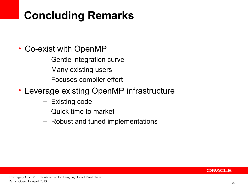## **Concluding Remarks**

- Co-exist with OpenMP
	- Gentle integration curve
	- Many existing users
	- Focuses compiler effort
- Leverage existing OpenMP infrastructure
	- Existing code
	- Quick time to market
	- Robust and tuned implementations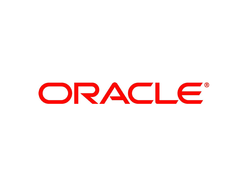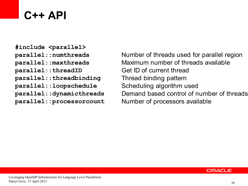#### **C++ API**

**#include <parallel> parallel::numthreads parallel::maxthreads parallel::threadID parallel::threadbinding parallel::loopschedule parallel::dynamicthreads parallel::processorcount**

Number of threads used for parallel region Maximum number of threads available Get ID of current thread Thread binding pattern Scheduling algorithm used Demand based control of number of threads Number of processors available